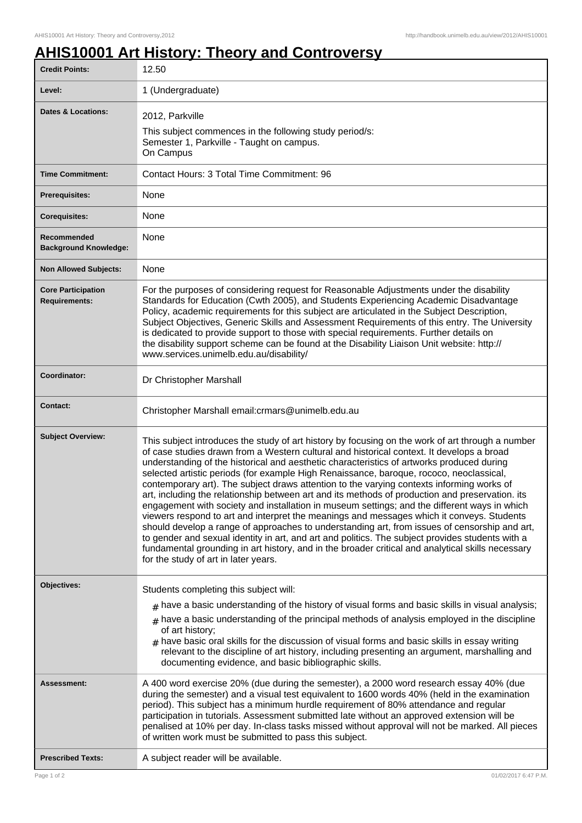## **AHIS10001 Art History: Theory and Controversy**

| <b>Credit Points:</b>                             | 12.50                                                                                                                                                                                                                                                                                                                                                                                                                                                                                                                                                                                                                                                                                                                                                                                                                                                                                                                                                                                                                                                                                                                                |
|---------------------------------------------------|--------------------------------------------------------------------------------------------------------------------------------------------------------------------------------------------------------------------------------------------------------------------------------------------------------------------------------------------------------------------------------------------------------------------------------------------------------------------------------------------------------------------------------------------------------------------------------------------------------------------------------------------------------------------------------------------------------------------------------------------------------------------------------------------------------------------------------------------------------------------------------------------------------------------------------------------------------------------------------------------------------------------------------------------------------------------------------------------------------------------------------------|
| Level:                                            | 1 (Undergraduate)                                                                                                                                                                                                                                                                                                                                                                                                                                                                                                                                                                                                                                                                                                                                                                                                                                                                                                                                                                                                                                                                                                                    |
| <b>Dates &amp; Locations:</b>                     | 2012, Parkville                                                                                                                                                                                                                                                                                                                                                                                                                                                                                                                                                                                                                                                                                                                                                                                                                                                                                                                                                                                                                                                                                                                      |
|                                                   | This subject commences in the following study period/s:<br>Semester 1, Parkville - Taught on campus.<br>On Campus                                                                                                                                                                                                                                                                                                                                                                                                                                                                                                                                                                                                                                                                                                                                                                                                                                                                                                                                                                                                                    |
| <b>Time Commitment:</b>                           | Contact Hours: 3 Total Time Commitment: 96                                                                                                                                                                                                                                                                                                                                                                                                                                                                                                                                                                                                                                                                                                                                                                                                                                                                                                                                                                                                                                                                                           |
| <b>Prerequisites:</b>                             | None                                                                                                                                                                                                                                                                                                                                                                                                                                                                                                                                                                                                                                                                                                                                                                                                                                                                                                                                                                                                                                                                                                                                 |
| <b>Corequisites:</b>                              | None                                                                                                                                                                                                                                                                                                                                                                                                                                                                                                                                                                                                                                                                                                                                                                                                                                                                                                                                                                                                                                                                                                                                 |
| Recommended<br><b>Background Knowledge:</b>       | None                                                                                                                                                                                                                                                                                                                                                                                                                                                                                                                                                                                                                                                                                                                                                                                                                                                                                                                                                                                                                                                                                                                                 |
| <b>Non Allowed Subjects:</b>                      | None                                                                                                                                                                                                                                                                                                                                                                                                                                                                                                                                                                                                                                                                                                                                                                                                                                                                                                                                                                                                                                                                                                                                 |
| <b>Core Participation</b><br><b>Requirements:</b> | For the purposes of considering request for Reasonable Adjustments under the disability<br>Standards for Education (Cwth 2005), and Students Experiencing Academic Disadvantage<br>Policy, academic requirements for this subject are articulated in the Subject Description,<br>Subject Objectives, Generic Skills and Assessment Requirements of this entry. The University<br>is dedicated to provide support to those with special requirements. Further details on<br>the disability support scheme can be found at the Disability Liaison Unit website: http://<br>www.services.unimelb.edu.au/disability/                                                                                                                                                                                                                                                                                                                                                                                                                                                                                                                     |
| Coordinator:                                      | Dr Christopher Marshall                                                                                                                                                                                                                                                                                                                                                                                                                                                                                                                                                                                                                                                                                                                                                                                                                                                                                                                                                                                                                                                                                                              |
| <b>Contact:</b>                                   | Christopher Marshall email: crmars@unimelb.edu.au                                                                                                                                                                                                                                                                                                                                                                                                                                                                                                                                                                                                                                                                                                                                                                                                                                                                                                                                                                                                                                                                                    |
| <b>Subject Overview:</b>                          | This subject introduces the study of art history by focusing on the work of art through a number<br>of case studies drawn from a Western cultural and historical context. It develops a broad<br>understanding of the historical and aesthetic characteristics of artworks produced during<br>selected artistic periods (for example High Renaissance, baroque, rococo, neoclassical,<br>contemporary art). The subject draws attention to the varying contexts informing works of<br>art, including the relationship between art and its methods of production and preservation. its<br>engagement with society and installation in museum settings; and the different ways in which<br>viewers respond to art and interpret the meanings and messages which it conveys. Students<br>should develop a range of approaches to understanding art, from issues of censorship and art,<br>to gender and sexual identity in art, and art and politics. The subject provides students with a<br>fundamental grounding in art history, and in the broader critical and analytical skills necessary<br>for the study of art in later years. |
| Objectives:                                       | Students completing this subject will:                                                                                                                                                                                                                                                                                                                                                                                                                                                                                                                                                                                                                                                                                                                                                                                                                                                                                                                                                                                                                                                                                               |
|                                                   | $_{\rm #}$ have a basic understanding of the history of visual forms and basic skills in visual analysis;                                                                                                                                                                                                                                                                                                                                                                                                                                                                                                                                                                                                                                                                                                                                                                                                                                                                                                                                                                                                                            |
|                                                   | $_{\text{\#}}$ have a basic understanding of the principal methods of analysis employed in the discipline<br>of art history;<br>$_{\#}$ have basic oral skills for the discussion of visual forms and basic skills in essay writing<br>relevant to the discipline of art history, including presenting an argument, marshalling and<br>documenting evidence, and basic bibliographic skills.                                                                                                                                                                                                                                                                                                                                                                                                                                                                                                                                                                                                                                                                                                                                         |
| Assessment:                                       | A 400 word exercise 20% (due during the semester), a 2000 word research essay 40% (due<br>during the semester) and a visual test equivalent to 1600 words 40% (held in the examination<br>period). This subject has a minimum hurdle requirement of 80% attendance and regular<br>participation in tutorials. Assessment submitted late without an approved extension will be<br>penalised at 10% per day. In-class tasks missed without approval will not be marked. All pieces<br>of written work must be submitted to pass this subject.                                                                                                                                                                                                                                                                                                                                                                                                                                                                                                                                                                                          |
| <b>Prescribed Texts:</b>                          | A subject reader will be available.                                                                                                                                                                                                                                                                                                                                                                                                                                                                                                                                                                                                                                                                                                                                                                                                                                                                                                                                                                                                                                                                                                  |